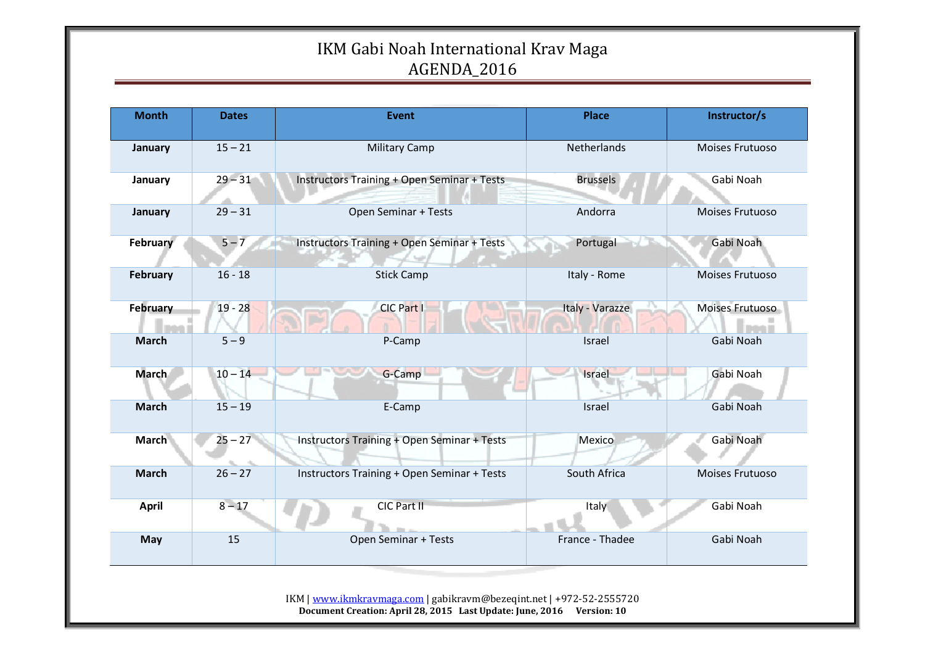| <b>Month</b> | <b>Dates</b> | Event                                       | <b>Place</b>    | Instructor/s    |
|--------------|--------------|---------------------------------------------|-----------------|-----------------|
| January      | $15 - 21$    | <b>Military Camp</b>                        | Netherlands     | Moises Frutuoso |
| January      | $29 - 31$    | Instructors Training + Open Seminar + Tests | <b>Brussels</b> | Gabi Noah       |
| January      | $29 - 31$    | Open Seminar + Tests                        | Andorra         | Moises Frutuoso |
| February     | $5 - 7$      | Instructors Training + Open Seminar + Tests | Portugal        | Gabi Noah       |
| February     | $16 - 18$    | <b>Stick Camp</b>                           | Italy - Rome    | Moises Frutuoso |
| February     | $19 - 28$    | CIC Part I                                  | Italy - Varazze | Moises Frutuoso |
| <b>March</b> | $5 - 9$      | P-Camp                                      | Israel          | Gabi Noah       |
| <b>March</b> | $10 - 14$    | G-Camp                                      | Israel          | Gabi Noah       |
| <b>March</b> | $15 - 19$    | E-Camp                                      | Israel          | Gabi Noah       |
| <b>March</b> | $25 - 27$    | Instructors Training + Open Seminar + Tests | Mexico          | Gabi Noah       |
| <b>March</b> | $26 - 27$    | Instructors Training + Open Seminar + Tests | South Africa    | Moises Frutuoso |
| <b>April</b> | $8 - 17$     | CIC Part II                                 | Italy           | Gabi Noah       |
| May          | 15           | Open Seminar + Tests                        | France - Thadee | Gabi Noah       |

IKM | www.ikmkravmaga.com | gabikravm@bezeqint.net | +972-52-2555720 **Document Creation: April 28, 2015 Last Update: June, 2016 Version: 10**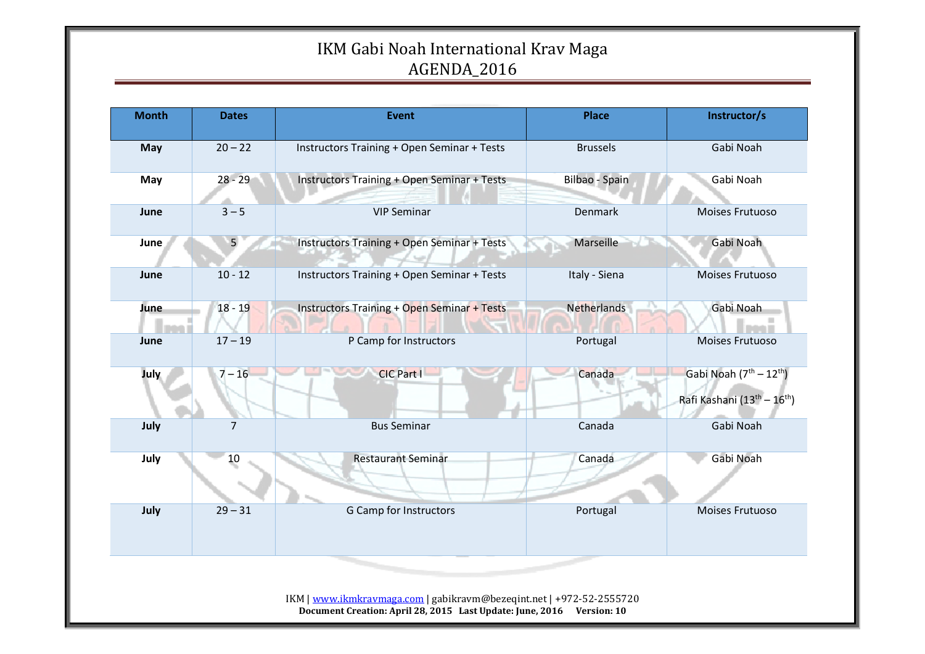| <b>Month</b> | <b>Dates</b>   | <b>Event</b>                                       | <b>Place</b>       | Instructor/s                                                                    |
|--------------|----------------|----------------------------------------------------|--------------------|---------------------------------------------------------------------------------|
| May          | $20 - 22$      | <b>Instructors Training + Open Seminar + Tests</b> | <b>Brussels</b>    | Gabi Noah                                                                       |
| May          | $28 - 29$      | <b>Instructors Training + Open Seminar + Tests</b> | Bilbao - Spain     | Gabi Noah                                                                       |
| June         | $3 - 5$        | <b>VIP Seminar</b>                                 | Denmark            | Moises Frutuoso                                                                 |
| June         | 5 <sub>1</sub> | Instructors Training + Open Seminar + Tests        | Marseille          | Gabi Noah                                                                       |
| June         | $10 - 12$      | <b>Instructors Training + Open Seminar + Tests</b> | Italy - Siena      | Moises Frutuoso                                                                 |
| June         | $18 - 19$      | <b>Instructors Training + Open Seminar + Tests</b> | <b>Netherlands</b> | Gabi Noah                                                                       |
| June         | $17 - 19$      | P Camp for Instructors                             | Portugal           | Moises Frutuoso                                                                 |
| July         | $7 - 16$       | <b>CIC Part I</b>                                  | Canada             | Gabi Noah $(7th – 12th)$<br>Rafi Kashani (13 <sup>th</sup> - 16 <sup>th</sup> ) |
| July         | $\overline{7}$ | <b>Bus Seminar</b>                                 | Canada             | Gabi Noah                                                                       |
| July         | 10             | <b>Restaurant Seminar</b>                          | Canada             | Gabi Noah                                                                       |
| July         | $29 - 31$      | <b>G Camp for Instructors</b>                      | Portugal           | Moises Frutuoso                                                                 |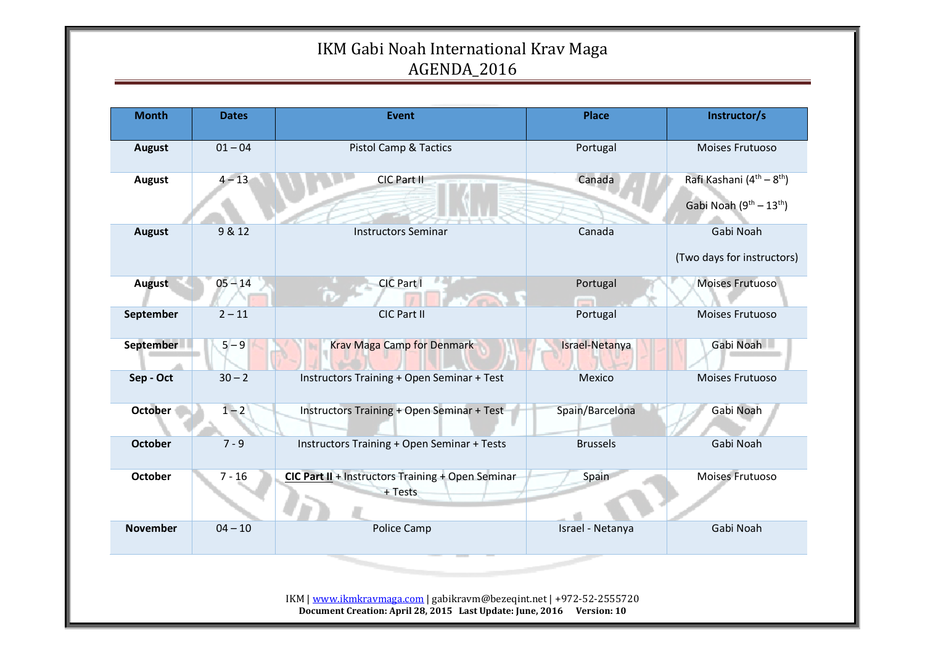| <b>Month</b>    | <b>Dates</b> | <b>Event</b>                                                 | <b>Place</b>     | Instructor/s                                      |
|-----------------|--------------|--------------------------------------------------------------|------------------|---------------------------------------------------|
| August          | $01 - 04$    | <b>Pistol Camp &amp; Tactics</b>                             | Portugal         | Moises Frutuoso                                   |
| <b>August</b>   | $4 - 13$     | CIC Part II                                                  | Canada           | Rafi Kashani (4 <sup>th</sup> – 8 <sup>th</sup> ) |
|                 |              |                                                              |                  | Gabi Noah $(9^{th} – 13^{th})$                    |
| <b>August</b>   | 9 & 12       | <b>Instructors Seminar</b>                                   | Canada           | Gabi Noah                                         |
|                 |              |                                                              |                  | (Two days for instructors)                        |
| August          | $05 - 14$    | CIC Part I                                                   | Portugal         | Moises Frutuoso                                   |
| September       | $2 - 11$     | CIC Part II                                                  | Portugal         | Moises Frutuoso                                   |
| September       | $5 - 9$      | <b>Krav Maga Camp for Denmark</b>                            | Israel-Netanya   | Gabi Noah                                         |
| Sep - Oct       | $30 - 2$     | Instructors Training + Open Seminar + Test                   | Mexico           | Moises Frutuoso                                   |
| <b>October</b>  | $1 - 2$      | Instructors Training + Open Seminar + Test                   | Spain/Barcelona  | Gabi Noah                                         |
| <b>October</b>  | $7 - 9$      | <b>Instructors Training + Open Seminar + Tests</b>           | <b>Brussels</b>  | Gabi Noah                                         |
| <b>October</b>  | $7 - 16$     | CIC Part II + Instructors Training + Open Seminar<br>+ Tests | Spain            | Moises Frutuoso                                   |
| <b>November</b> | $04 - 10$    | Police Camp                                                  | Israel - Netanya | Gabi Noah                                         |

**Document Creation: April 28, 2015 Last Update: June, 2016 Version: 10**